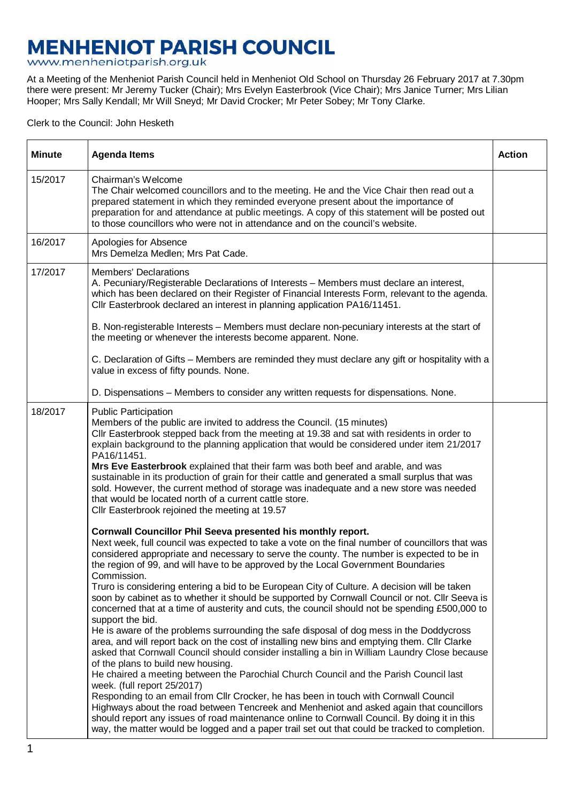## **MENHENIOT PARISH COUNCIL**<br>www.menheniotparish.org.uk

At a Meeting of the Menheniot Parish Council held in Menheniot Old School on Thursday 26 February 2017 at 7.30pm there were present: Mr Jeremy Tucker (Chair); Mrs Evelyn Easterbrook (Vice Chair); Mrs Janice Turner; Mrs Lilian Hooper; Mrs Sally Kendall; Mr Will Sneyd; Mr David Crocker; Mr Peter Sobey; Mr Tony Clarke.

Clerk to the Council: John Hesketh

| <b>Minute</b> | <b>Agenda Items</b>                                                                                                                                                                                                                                                                                                                                                                                                                                                                                                                                                                                                                                                                                                                                                                                                                                                                                                                                                                                                                                                                                                                                                                                                                                                                                                                                                                                                                                                                                                                     | <b>Action</b> |
|---------------|-----------------------------------------------------------------------------------------------------------------------------------------------------------------------------------------------------------------------------------------------------------------------------------------------------------------------------------------------------------------------------------------------------------------------------------------------------------------------------------------------------------------------------------------------------------------------------------------------------------------------------------------------------------------------------------------------------------------------------------------------------------------------------------------------------------------------------------------------------------------------------------------------------------------------------------------------------------------------------------------------------------------------------------------------------------------------------------------------------------------------------------------------------------------------------------------------------------------------------------------------------------------------------------------------------------------------------------------------------------------------------------------------------------------------------------------------------------------------------------------------------------------------------------------|---------------|
| 15/2017       | Chairman's Welcome<br>The Chair welcomed councillors and to the meeting. He and the Vice Chair then read out a<br>prepared statement in which they reminded everyone present about the importance of<br>preparation for and attendance at public meetings. A copy of this statement will be posted out<br>to those councillors who were not in attendance and on the council's website.                                                                                                                                                                                                                                                                                                                                                                                                                                                                                                                                                                                                                                                                                                                                                                                                                                                                                                                                                                                                                                                                                                                                                 |               |
| 16/2017       | Apologies for Absence<br>Mrs Demelza Medlen; Mrs Pat Cade.                                                                                                                                                                                                                                                                                                                                                                                                                                                                                                                                                                                                                                                                                                                                                                                                                                                                                                                                                                                                                                                                                                                                                                                                                                                                                                                                                                                                                                                                              |               |
| 17/2017       | <b>Members' Declarations</b><br>A. Pecuniary/Registerable Declarations of Interests - Members must declare an interest,<br>which has been declared on their Register of Financial Interests Form, relevant to the agenda.<br>Cllr Easterbrook declared an interest in planning application PA16/11451.                                                                                                                                                                                                                                                                                                                                                                                                                                                                                                                                                                                                                                                                                                                                                                                                                                                                                                                                                                                                                                                                                                                                                                                                                                  |               |
|               | B. Non-registerable Interests - Members must declare non-pecuniary interests at the start of<br>the meeting or whenever the interests become apparent. None.                                                                                                                                                                                                                                                                                                                                                                                                                                                                                                                                                                                                                                                                                                                                                                                                                                                                                                                                                                                                                                                                                                                                                                                                                                                                                                                                                                            |               |
|               | C. Declaration of Gifts – Members are reminded they must declare any gift or hospitality with a<br>value in excess of fifty pounds. None.                                                                                                                                                                                                                                                                                                                                                                                                                                                                                                                                                                                                                                                                                                                                                                                                                                                                                                                                                                                                                                                                                                                                                                                                                                                                                                                                                                                               |               |
|               | D. Dispensations - Members to consider any written requests for dispensations. None.                                                                                                                                                                                                                                                                                                                                                                                                                                                                                                                                                                                                                                                                                                                                                                                                                                                                                                                                                                                                                                                                                                                                                                                                                                                                                                                                                                                                                                                    |               |
| 18/2017       | <b>Public Participation</b><br>Members of the public are invited to address the Council. (15 minutes)<br>CIIr Easterbrook stepped back from the meeting at 19.38 and sat with residents in order to<br>explain background to the planning application that would be considered under item 21/2017<br>PA16/11451.<br>Mrs Eve Easterbrook explained that their farm was both beef and arable, and was<br>sustainable in its production of grain for their cattle and generated a small surplus that was<br>sold. However, the current method of storage was inadequate and a new store was needed<br>that would be located north of a current cattle store.<br>Cllr Easterbrook rejoined the meeting at 19.57                                                                                                                                                                                                                                                                                                                                                                                                                                                                                                                                                                                                                                                                                                                                                                                                                             |               |
|               | Cornwall Councillor Phil Seeva presented his monthly report.<br>Next week, full council was expected to take a vote on the final number of councillors that was<br>considered appropriate and necessary to serve the county. The number is expected to be in<br>the region of 99, and will have to be approved by the Local Government Boundaries<br>Commission.<br>Truro is considering entering a bid to be European City of Culture. A decision will be taken<br>soon by cabinet as to whether it should be supported by Cornwall Council or not. Cllr Seeva is<br>concerned that at a time of austerity and cuts, the council should not be spending £500,000 to<br>support the bid.<br>He is aware of the problems surrounding the safe disposal of dog mess in the Doddycross<br>area, and will report back on the cost of installing new bins and emptying them. Cllr Clarke<br>asked that Cornwall Council should consider installing a bin in William Laundry Close because<br>of the plans to build new housing.<br>He chaired a meeting between the Parochial Church Council and the Parish Council last<br>week. (full report 25/2017)<br>Responding to an email from Cllr Crocker, he has been in touch with Cornwall Council<br>Highways about the road between Tencreek and Menheniot and asked again that councillors<br>should report any issues of road maintenance online to Cornwall Council. By doing it in this<br>way, the matter would be logged and a paper trail set out that could be tracked to completion. |               |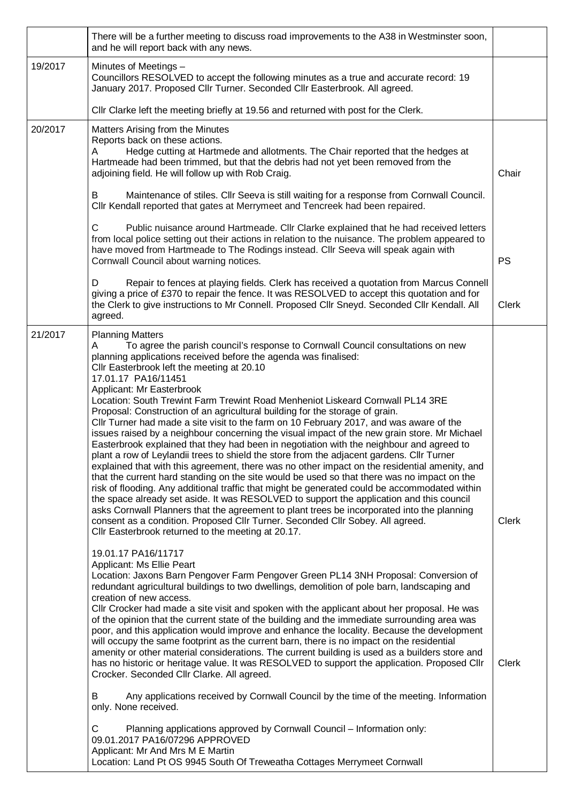|         | There will be a further meeting to discuss road improvements to the A38 in Westminster soon,<br>and he will report back with any news.                                                                                                                                                                                                                                                                                                                                                                                                                                                                                                                                                                                                                                                                                                                                                                                                                                                                                                                                                                                                                                                                                                                                                                                                                                                                                                                                                                                                                                                                                                                                                                                                                                                                                                                                                                                                                                                                                                                                                                                                                                                                                                                                                                                                                                                                                                                                                                                                                                                                                                                                                                                                               |                       |
|---------|------------------------------------------------------------------------------------------------------------------------------------------------------------------------------------------------------------------------------------------------------------------------------------------------------------------------------------------------------------------------------------------------------------------------------------------------------------------------------------------------------------------------------------------------------------------------------------------------------------------------------------------------------------------------------------------------------------------------------------------------------------------------------------------------------------------------------------------------------------------------------------------------------------------------------------------------------------------------------------------------------------------------------------------------------------------------------------------------------------------------------------------------------------------------------------------------------------------------------------------------------------------------------------------------------------------------------------------------------------------------------------------------------------------------------------------------------------------------------------------------------------------------------------------------------------------------------------------------------------------------------------------------------------------------------------------------------------------------------------------------------------------------------------------------------------------------------------------------------------------------------------------------------------------------------------------------------------------------------------------------------------------------------------------------------------------------------------------------------------------------------------------------------------------------------------------------------------------------------------------------------------------------------------------------------------------------------------------------------------------------------------------------------------------------------------------------------------------------------------------------------------------------------------------------------------------------------------------------------------------------------------------------------------------------------------------------------------------------------------------------------|-----------------------|
| 19/2017 | Minutes of Meetings -<br>Councillors RESOLVED to accept the following minutes as a true and accurate record: 19<br>January 2017. Proposed Cllr Turner. Seconded Cllr Easterbrook. All agreed.                                                                                                                                                                                                                                                                                                                                                                                                                                                                                                                                                                                                                                                                                                                                                                                                                                                                                                                                                                                                                                                                                                                                                                                                                                                                                                                                                                                                                                                                                                                                                                                                                                                                                                                                                                                                                                                                                                                                                                                                                                                                                                                                                                                                                                                                                                                                                                                                                                                                                                                                                        |                       |
|         | Cllr Clarke left the meeting briefly at 19.56 and returned with post for the Clerk.                                                                                                                                                                                                                                                                                                                                                                                                                                                                                                                                                                                                                                                                                                                                                                                                                                                                                                                                                                                                                                                                                                                                                                                                                                                                                                                                                                                                                                                                                                                                                                                                                                                                                                                                                                                                                                                                                                                                                                                                                                                                                                                                                                                                                                                                                                                                                                                                                                                                                                                                                                                                                                                                  |                       |
| 20/2017 | Matters Arising from the Minutes<br>Reports back on these actions.<br>Hedge cutting at Hartmede and allotments. The Chair reported that the hedges at<br>A<br>Hartmeade had been trimmed, but that the debris had not yet been removed from the<br>adjoining field. He will follow up with Rob Craig.                                                                                                                                                                                                                                                                                                                                                                                                                                                                                                                                                                                                                                                                                                                                                                                                                                                                                                                                                                                                                                                                                                                                                                                                                                                                                                                                                                                                                                                                                                                                                                                                                                                                                                                                                                                                                                                                                                                                                                                                                                                                                                                                                                                                                                                                                                                                                                                                                                                | Chair                 |
|         | Maintenance of stiles. Cllr Seeva is still waiting for a response from Cornwall Council.<br>B<br>Cllr Kendall reported that gates at Merrymeet and Tencreek had been repaired.                                                                                                                                                                                                                                                                                                                                                                                                                                                                                                                                                                                                                                                                                                                                                                                                                                                                                                                                                                                                                                                                                                                                                                                                                                                                                                                                                                                                                                                                                                                                                                                                                                                                                                                                                                                                                                                                                                                                                                                                                                                                                                                                                                                                                                                                                                                                                                                                                                                                                                                                                                       |                       |
|         | C<br>Public nuisance around Hartmeade. Cllr Clarke explained that he had received letters<br>from local police setting out their actions in relation to the nuisance. The problem appeared to<br>have moved from Hartmeade to The Rodings instead. Cllr Seeva will speak again with<br>Cornwall Council about warning notices.                                                                                                                                                                                                                                                                                                                                                                                                                                                                                                                                                                                                                                                                                                                                                                                                                                                                                                                                                                                                                                                                                                                                                                                                                                                                                                                                                                                                                                                                                                                                                                                                                                                                                                                                                                                                                                                                                                                                                                                                                                                                                                                                                                                                                                                                                                                                                                                                                       | <b>PS</b>             |
|         | Repair to fences at playing fields. Clerk has received a quotation from Marcus Connell<br>D<br>giving a price of £370 to repair the fence. It was RESOLVED to accept this quotation and for<br>the Clerk to give instructions to Mr Connell. Proposed Cllr Sneyd. Seconded Cllr Kendall. All<br>agreed.                                                                                                                                                                                                                                                                                                                                                                                                                                                                                                                                                                                                                                                                                                                                                                                                                                                                                                                                                                                                                                                                                                                                                                                                                                                                                                                                                                                                                                                                                                                                                                                                                                                                                                                                                                                                                                                                                                                                                                                                                                                                                                                                                                                                                                                                                                                                                                                                                                              | Clerk                 |
| 21/2017 | <b>Planning Matters</b><br>To agree the parish council's response to Cornwall Council consultations on new<br>A<br>planning applications received before the agenda was finalised:<br>Cllr Easterbrook left the meeting at 20.10<br>17.01.17 PA16/11451<br>Applicant: Mr Easterbrook<br>Location: South Trewint Farm Trewint Road Menheniot Liskeard Cornwall PL14 3RE<br>Proposal: Construction of an agricultural building for the storage of grain.<br>CIIr Turner had made a site visit to the farm on 10 February 2017, and was aware of the<br>issues raised by a neighbour concerning the visual impact of the new grain store. Mr Michael<br>Easterbrook explained that they had been in negotiation with the neighbour and agreed to<br>plant a row of Leylandii trees to shield the store from the adjacent gardens. Cllr Turner<br>explained that with this agreement, there was no other impact on the residential amenity, and<br>that the current hard standing on the site would be used so that there was no impact on the<br>risk of flooding. Any additional traffic that might be generated could be accommodated within<br>the space already set aside. It was RESOLVED to support the application and this council<br>asks Cornwall Planners that the agreement to plant trees be incorporated into the planning<br>consent as a condition. Proposed Cllr Turner. Seconded Cllr Sobey. All agreed.<br>Cllr Easterbrook returned to the meeting at 20.17.<br>19.01.17 PA16/11717<br>Applicant: Ms Ellie Peart<br>Location: Jaxons Barn Pengover Farm Pengover Green PL14 3NH Proposal: Conversion of<br>redundant agricultural buildings to two dwellings, demolition of pole barn, landscaping and<br>creation of new access.<br>CIIr Crocker had made a site visit and spoken with the applicant about her proposal. He was<br>of the opinion that the current state of the building and the immediate surrounding area was<br>poor, and this application would improve and enhance the locality. Because the development<br>will occupy the same footprint as the current barn, there is no impact on the residential<br>amenity or other material considerations. The current building is used as a builders store and<br>has no historic or heritage value. It was RESOLVED to support the application. Proposed Cllr<br>Crocker. Seconded Cllr Clarke. All agreed.<br>Any applications received by Cornwall Council by the time of the meeting. Information<br>B<br>only. None received.<br>Planning applications approved by Cornwall Council - Information only:<br>C.<br>09.01.2017 PA16/07296 APPROVED<br>Applicant: Mr And Mrs M E Martin<br>Location: Land Pt OS 9945 South Of Treweatha Cottages Merrymeet Cornwall | <b>Clerk</b><br>Clerk |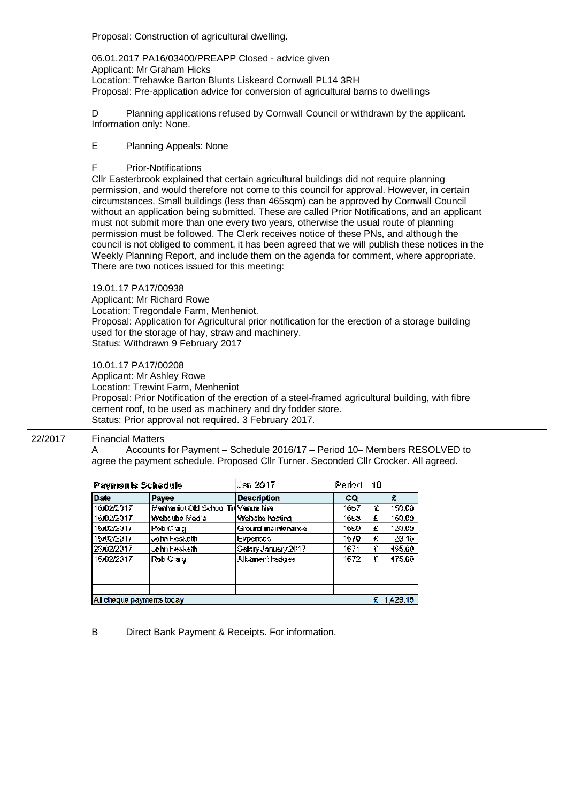|         |                                                                                                                                                                                                                                                                                                                                                                                                                                                                                                                                                                                                                                                                                                                                                                                                                                                     | Proposal: Construction of agricultural dwelling.                                                                                                              |                                                                                                                                                                                                         |         |             |  |  |
|---------|-----------------------------------------------------------------------------------------------------------------------------------------------------------------------------------------------------------------------------------------------------------------------------------------------------------------------------------------------------------------------------------------------------------------------------------------------------------------------------------------------------------------------------------------------------------------------------------------------------------------------------------------------------------------------------------------------------------------------------------------------------------------------------------------------------------------------------------------------------|---------------------------------------------------------------------------------------------------------------------------------------------------------------|---------------------------------------------------------------------------------------------------------------------------------------------------------------------------------------------------------|---------|-------------|--|--|
|         |                                                                                                                                                                                                                                                                                                                                                                                                                                                                                                                                                                                                                                                                                                                                                                                                                                                     | Applicant: Mr Graham Hicks                                                                                                                                    | 06.01.2017 PA16/03400/PREAPP Closed - advice given<br>Location: Trehawke Barton Blunts Liskeard Cornwall PL14 3RH<br>Proposal: Pre-application advice for conversion of agricultural barns to dwellings |         |             |  |  |
|         | D<br>Information only: None.                                                                                                                                                                                                                                                                                                                                                                                                                                                                                                                                                                                                                                                                                                                                                                                                                        |                                                                                                                                                               | Planning applications refused by Cornwall Council or withdrawn by the applicant.                                                                                                                        |         |             |  |  |
|         | E                                                                                                                                                                                                                                                                                                                                                                                                                                                                                                                                                                                                                                                                                                                                                                                                                                                   | Planning Appeals: None                                                                                                                                        |                                                                                                                                                                                                         |         |             |  |  |
|         | F<br><b>Prior-Notifications</b><br>CIIr Easterbrook explained that certain agricultural buildings did not require planning<br>permission, and would therefore not come to this council for approval. However, in certain<br>circumstances. Small buildings (less than 465sqm) can be approved by Cornwall Council<br>without an application being submitted. These are called Prior Notifications, and an applicant<br>must not submit more than one every two years, otherwise the usual route of planning<br>permission must be followed. The Clerk receives notice of these PNs, and although the<br>council is not obliged to comment, it has been agreed that we will publish these notices in the<br>Weekly Planning Report, and include them on the agenda for comment, where appropriate.<br>There are two notices issued for this meeting: |                                                                                                                                                               |                                                                                                                                                                                                         |         |             |  |  |
|         | 19.01.17 PA17/00938                                                                                                                                                                                                                                                                                                                                                                                                                                                                                                                                                                                                                                                                                                                                                                                                                                 | Applicant: Mr Richard Rowe<br>Location: Tregondale Farm, Menheniot.<br>used for the storage of hay, straw and machinery.<br>Status: Withdrawn 9 February 2017 | Proposal: Application for Agricultural prior notification for the erection of a storage building                                                                                                        |         |             |  |  |
|         | 10.01.17 PA17/00208                                                                                                                                                                                                                                                                                                                                                                                                                                                                                                                                                                                                                                                                                                                                                                                                                                 | Applicant: Mr Ashley Rowe<br>Location: Trewint Farm, Menheniot<br>Status: Prior approval not required. 3 February 2017.                                       | Proposal: Prior Notification of the erection of a steel-framed agricultural building, with fibre<br>cement roof, to be used as machinery and dry fodder store.                                          |         |             |  |  |
| 22/2017 | <b>Financial Matters</b><br>Accounts for Payment - Schedule 2016/17 - Period 10- Members RESOLVED to<br>A<br>agree the payment schedule. Proposed Cllr Turner. Seconded Cllr Crocker. All agreed.                                                                                                                                                                                                                                                                                                                                                                                                                                                                                                                                                                                                                                                   |                                                                                                                                                               |                                                                                                                                                                                                         |         |             |  |  |
|         | <b>Payments Schedule</b>                                                                                                                                                                                                                                                                                                                                                                                                                                                                                                                                                                                                                                                                                                                                                                                                                            |                                                                                                                                                               | Jan 2017                                                                                                                                                                                                | Periodi | 10          |  |  |
|         | <b>Date</b>                                                                                                                                                                                                                                                                                                                                                                                                                                                                                                                                                                                                                                                                                                                                                                                                                                         | Payee                                                                                                                                                         | <b>Description</b>                                                                                                                                                                                      | CQ      | £.          |  |  |
|         | 16/02/2017                                                                                                                                                                                                                                                                                                                                                                                                                                                                                                                                                                                                                                                                                                                                                                                                                                          | Menhaniot Old School Tri Venue hire                                                                                                                           |                                                                                                                                                                                                         | 1667    | 150.00<br>£ |  |  |
|         | 6/02/2017                                                                                                                                                                                                                                                                                                                                                                                                                                                                                                                                                                                                                                                                                                                                                                                                                                           | Webcube Media                                                                                                                                                 | Website hosting                                                                                                                                                                                         | 1668    | 160.00<br>圭 |  |  |
|         | 6/02/2017                                                                                                                                                                                                                                                                                                                                                                                                                                                                                                                                                                                                                                                                                                                                                                                                                                           | Rob Craig                                                                                                                                                     | Ground maintenance                                                                                                                                                                                      | 1669.   | 120.00<br>圭 |  |  |
|         | 6/02/2017                                                                                                                                                                                                                                                                                                                                                                                                                                                                                                                                                                                                                                                                                                                                                                                                                                           | John Hesketh                                                                                                                                                  | Expenses                                                                                                                                                                                                | 1670.   | £<br>29.15  |  |  |
|         | 28/02/2017                                                                                                                                                                                                                                                                                                                                                                                                                                                                                                                                                                                                                                                                                                                                                                                                                                          | John Heskethi                                                                                                                                                 | Salary January 2017                                                                                                                                                                                     | 1671    | £<br>495.00 |  |  |
|         | 6/02/2017                                                                                                                                                                                                                                                                                                                                                                                                                                                                                                                                                                                                                                                                                                                                                                                                                                           | Rob Craig                                                                                                                                                     | Allofment hedges                                                                                                                                                                                        | 1672    | £<br>475.00 |  |  |
|         |                                                                                                                                                                                                                                                                                                                                                                                                                                                                                                                                                                                                                                                                                                                                                                                                                                                     |                                                                                                                                                               |                                                                                                                                                                                                         |         |             |  |  |
|         |                                                                                                                                                                                                                                                                                                                                                                                                                                                                                                                                                                                                                                                                                                                                                                                                                                                     |                                                                                                                                                               |                                                                                                                                                                                                         |         |             |  |  |
|         |                                                                                                                                                                                                                                                                                                                                                                                                                                                                                                                                                                                                                                                                                                                                                                                                                                                     |                                                                                                                                                               |                                                                                                                                                                                                         |         |             |  |  |
|         | £ 1,429.15<br>All cheque payments today                                                                                                                                                                                                                                                                                                                                                                                                                                                                                                                                                                                                                                                                                                                                                                                                             |                                                                                                                                                               |                                                                                                                                                                                                         |         |             |  |  |
|         |                                                                                                                                                                                                                                                                                                                                                                                                                                                                                                                                                                                                                                                                                                                                                                                                                                                     |                                                                                                                                                               |                                                                                                                                                                                                         |         |             |  |  |
|         | Direct Bank Payment & Receipts. For information.<br>В                                                                                                                                                                                                                                                                                                                                                                                                                                                                                                                                                                                                                                                                                                                                                                                               |                                                                                                                                                               |                                                                                                                                                                                                         |         |             |  |  |
|         |                                                                                                                                                                                                                                                                                                                                                                                                                                                                                                                                                                                                                                                                                                                                                                                                                                                     |                                                                                                                                                               |                                                                                                                                                                                                         |         |             |  |  |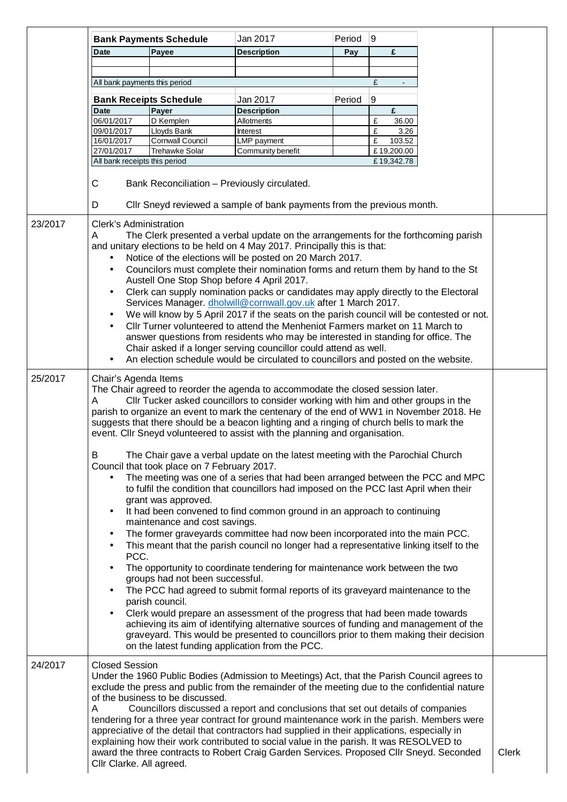|         |                                                                                                                                                                                                                                                                                                                                                                                                                                                                                                                                                                                                                                                                                                                                                                                                                                                                                                                                                                                                                                                                                                                                                                                                                                                                                                                                                                                                                                                                                                                                                                                                                                                                                                                                                                                                 | <b>Bank Payments Schedule</b>             | Jan 2017                                                                                                                                                                                                                                                                                                                                                                                                                                                                                                                                                                                                                                                                | Period | 9                         |  |              |
|---------|-------------------------------------------------------------------------------------------------------------------------------------------------------------------------------------------------------------------------------------------------------------------------------------------------------------------------------------------------------------------------------------------------------------------------------------------------------------------------------------------------------------------------------------------------------------------------------------------------------------------------------------------------------------------------------------------------------------------------------------------------------------------------------------------------------------------------------------------------------------------------------------------------------------------------------------------------------------------------------------------------------------------------------------------------------------------------------------------------------------------------------------------------------------------------------------------------------------------------------------------------------------------------------------------------------------------------------------------------------------------------------------------------------------------------------------------------------------------------------------------------------------------------------------------------------------------------------------------------------------------------------------------------------------------------------------------------------------------------------------------------------------------------------------------------|-------------------------------------------|-------------------------------------------------------------------------------------------------------------------------------------------------------------------------------------------------------------------------------------------------------------------------------------------------------------------------------------------------------------------------------------------------------------------------------------------------------------------------------------------------------------------------------------------------------------------------------------------------------------------------------------------------------------------------|--------|---------------------------|--|--------------|
|         | <b>Date</b>                                                                                                                                                                                                                                                                                                                                                                                                                                                                                                                                                                                                                                                                                                                                                                                                                                                                                                                                                                                                                                                                                                                                                                                                                                                                                                                                                                                                                                                                                                                                                                                                                                                                                                                                                                                     | Payee                                     | <b>Description</b>                                                                                                                                                                                                                                                                                                                                                                                                                                                                                                                                                                                                                                                      | Pay    | £                         |  |              |
|         |                                                                                                                                                                                                                                                                                                                                                                                                                                                                                                                                                                                                                                                                                                                                                                                                                                                                                                                                                                                                                                                                                                                                                                                                                                                                                                                                                                                                                                                                                                                                                                                                                                                                                                                                                                                                 |                                           |                                                                                                                                                                                                                                                                                                                                                                                                                                                                                                                                                                                                                                                                         |        |                           |  |              |
|         | All bank payments this period                                                                                                                                                                                                                                                                                                                                                                                                                                                                                                                                                                                                                                                                                                                                                                                                                                                                                                                                                                                                                                                                                                                                                                                                                                                                                                                                                                                                                                                                                                                                                                                                                                                                                                                                                                   |                                           |                                                                                                                                                                                                                                                                                                                                                                                                                                                                                                                                                                                                                                                                         |        | £                         |  |              |
|         | <b>Bank Receipts Schedule</b>                                                                                                                                                                                                                                                                                                                                                                                                                                                                                                                                                                                                                                                                                                                                                                                                                                                                                                                                                                                                                                                                                                                                                                                                                                                                                                                                                                                                                                                                                                                                                                                                                                                                                                                                                                   |                                           | Jan 2017                                                                                                                                                                                                                                                                                                                                                                                                                                                                                                                                                                                                                                                                | Period | 9                         |  |              |
|         | <b>Date</b>                                                                                                                                                                                                                                                                                                                                                                                                                                                                                                                                                                                                                                                                                                                                                                                                                                                                                                                                                                                                                                                                                                                                                                                                                                                                                                                                                                                                                                                                                                                                                                                                                                                                                                                                                                                     | Payer                                     | <b>Description</b>                                                                                                                                                                                                                                                                                                                                                                                                                                                                                                                                                                                                                                                      |        | £                         |  |              |
|         | 06/01/2017                                                                                                                                                                                                                                                                                                                                                                                                                                                                                                                                                                                                                                                                                                                                                                                                                                                                                                                                                                                                                                                                                                                                                                                                                                                                                                                                                                                                                                                                                                                                                                                                                                                                                                                                                                                      | D Kemplen                                 | Allotments                                                                                                                                                                                                                                                                                                                                                                                                                                                                                                                                                                                                                                                              |        | £<br>36.00                |  |              |
|         | 09/01/2017                                                                                                                                                                                                                                                                                                                                                                                                                                                                                                                                                                                                                                                                                                                                                                                                                                                                                                                                                                                                                                                                                                                                                                                                                                                                                                                                                                                                                                                                                                                                                                                                                                                                                                                                                                                      | Lloyds Bank                               | Interest                                                                                                                                                                                                                                                                                                                                                                                                                                                                                                                                                                                                                                                                |        | £<br>3.26                 |  |              |
|         | 16/01/2017<br>27/01/2017                                                                                                                                                                                                                                                                                                                                                                                                                                                                                                                                                                                                                                                                                                                                                                                                                                                                                                                                                                                                                                                                                                                                                                                                                                                                                                                                                                                                                                                                                                                                                                                                                                                                                                                                                                        | Cornwall Council<br><b>Trehawke Solar</b> | LMP payment<br>Community benefit                                                                                                                                                                                                                                                                                                                                                                                                                                                                                                                                                                                                                                        |        | £<br>103.52<br>£19,200.00 |  |              |
|         | All bank receipts this period                                                                                                                                                                                                                                                                                                                                                                                                                                                                                                                                                                                                                                                                                                                                                                                                                                                                                                                                                                                                                                                                                                                                                                                                                                                                                                                                                                                                                                                                                                                                                                                                                                                                                                                                                                   |                                           |                                                                                                                                                                                                                                                                                                                                                                                                                                                                                                                                                                                                                                                                         |        | £19,342.78                |  |              |
|         | C<br>Bank Reconciliation - Previously circulated.<br>CIIr Sneyd reviewed a sample of bank payments from the previous month.<br>D                                                                                                                                                                                                                                                                                                                                                                                                                                                                                                                                                                                                                                                                                                                                                                                                                                                                                                                                                                                                                                                                                                                                                                                                                                                                                                                                                                                                                                                                                                                                                                                                                                                                |                                           |                                                                                                                                                                                                                                                                                                                                                                                                                                                                                                                                                                                                                                                                         |        |                           |  |              |
|         |                                                                                                                                                                                                                                                                                                                                                                                                                                                                                                                                                                                                                                                                                                                                                                                                                                                                                                                                                                                                                                                                                                                                                                                                                                                                                                                                                                                                                                                                                                                                                                                                                                                                                                                                                                                                 |                                           |                                                                                                                                                                                                                                                                                                                                                                                                                                                                                                                                                                                                                                                                         |        |                           |  |              |
| 23/2017 | <b>Clerk's Administration</b><br>The Clerk presented a verbal update on the arrangements for the forthcoming parish<br>A<br>and unitary elections to be held on 4 May 2017. Principally this is that:<br>Notice of the elections will be posted on 20 March 2017.<br>$\bullet$<br>Councilors must complete their nomination forms and return them by hand to the St<br>Austell One Stop Shop before 4 April 2017.<br>Clerk can supply nomination packs or candidates may apply directly to the Electoral<br>Services Manager. dholwill@cornwall.gov.uk after 1 March 2017.<br>We will know by 5 April 2017 if the seats on the parish council will be contested or not.<br>CIIr Turner volunteered to attend the Menheniot Farmers market on 11 March to<br>answer questions from residents who may be interested in standing for office. The<br>Chair asked if a longer serving councillor could attend as well.                                                                                                                                                                                                                                                                                                                                                                                                                                                                                                                                                                                                                                                                                                                                                                                                                                                                               |                                           |                                                                                                                                                                                                                                                                                                                                                                                                                                                                                                                                                                                                                                                                         |        |                           |  |              |
|         |                                                                                                                                                                                                                                                                                                                                                                                                                                                                                                                                                                                                                                                                                                                                                                                                                                                                                                                                                                                                                                                                                                                                                                                                                                                                                                                                                                                                                                                                                                                                                                                                                                                                                                                                                                                                 |                                           |                                                                                                                                                                                                                                                                                                                                                                                                                                                                                                                                                                                                                                                                         |        |                           |  |              |
| 25/2017 | An election schedule would be circulated to councillors and posted on the website.<br>Chair's Agenda Items<br>The Chair agreed to reorder the agenda to accommodate the closed session later.<br>CIIr Tucker asked councillors to consider working with him and other groups in the<br>A<br>parish to organize an event to mark the centenary of the end of WW1 in November 2018. He<br>suggests that there should be a beacon lighting and a ringing of church bells to mark the<br>event. Cllr Sneyd volunteered to assist with the planning and organisation.<br>B.<br>The Chair gave a verbal update on the latest meeting with the Parochial Church<br>Council that took place on 7 February 2017.<br>The meeting was one of a series that had been arranged between the PCC and MPC<br>to fulfil the condition that councillors had imposed on the PCC last April when their<br>grant was approved.<br>It had been convened to find common ground in an approach to continuing<br>$\bullet$<br>maintenance and cost savings.<br>The former graveyards committee had now been incorporated into the main PCC.<br>٠<br>This meant that the parish council no longer had a representative linking itself to the<br>٠<br>PCC.<br>The opportunity to coordinate tendering for maintenance work between the two<br>groups had not been successful.<br>The PCC had agreed to submit formal reports of its graveyard maintenance to the<br>$\bullet$<br>parish council.<br>Clerk would prepare an assessment of the progress that had been made towards<br>٠<br>achieving its aim of identifying alternative sources of funding and management of the<br>graveyard. This would be presented to councillors prior to them making their decision<br>on the latest funding application from the PCC. |                                           |                                                                                                                                                                                                                                                                                                                                                                                                                                                                                                                                                                                                                                                                         |        |                           |  |              |
| 24/2017 | <b>Closed Session</b><br>A<br>Cllr Clarke. All agreed.                                                                                                                                                                                                                                                                                                                                                                                                                                                                                                                                                                                                                                                                                                                                                                                                                                                                                                                                                                                                                                                                                                                                                                                                                                                                                                                                                                                                                                                                                                                                                                                                                                                                                                                                          | of the business to be discussed.          | Under the 1960 Public Bodies (Admission to Meetings) Act, that the Parish Council agrees to<br>exclude the press and public from the remainder of the meeting due to the confidential nature<br>Councillors discussed a report and conclusions that set out details of companies<br>tendering for a three year contract for ground maintenance work in the parish. Members were<br>appreciative of the detail that contractors had supplied in their applications, especially in<br>explaining how their work contributed to social value in the parish. It was RESOLVED to<br>award the three contracts to Robert Craig Garden Services. Proposed Cllr Sneyd. Seconded |        |                           |  | <b>Clerk</b> |